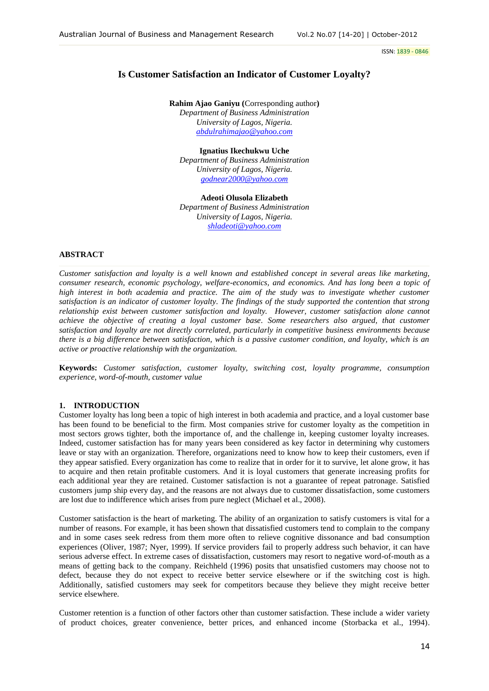# **Is Customer Satisfaction an Indicator of Customer Loyalty?**

**Rahim Ajao Ganiyu (**Corresponding author**)** *Department of Business Administration University of Lagos, Nigeria. [abdulrahimajao@yahoo.com](mailto:abdulrahimajao@yahoo.com)*

**Ignatius Ikechukwu Uche** *Department of Business Administration University of Lagos, Nigeria. [godnear2000@yahoo.com](mailto:godnear2000@yahoo.com)*

**Adeoti Olusola Elizabeth** *Department of Business Administration University of Lagos, Nigeria. [shladeoti@yahoo.com](mailto:shladeoti@yahoo.com)*

# **ABSTRACT**

*Customer satisfaction and loyalty is a well known and established concept in several areas like marketing, consumer research, economic psychology, welfare-economics, and economics. And has long been a topic of high interest in both academia and practice. The aim of the study was to investigate whether customer satisfaction is an indicator of customer loyalty. The findings of the study supported the contention that strong relationship exist between customer satisfaction and loyalty. However, customer satisfaction alone cannot achieve the objective of creating a loyal customer base. Some researchers also argued, that customer satisfaction and loyalty are not directly correlated, particularly in competitive business environments because there is a big difference between satisfaction, which is a passive customer condition, and loyalty, which is an active or proactive relationship with the organization.*

**Keywords:** *Customer satisfaction, customer loyalty, switching cost, loyalty programme, consumption experience, word-of-mouth, customer value*

## **1. INTRODUCTION**

Customer loyalty has long been a topic of high interest in both academia and practice, and a loyal customer base has been found to be beneficial to the firm. Most companies strive for customer loyalty as the competition in most sectors grows tighter, both the importance of, and the challenge in, keeping customer loyalty increases. Indeed, customer satisfaction has for many years been considered as key factor in determining why customers leave or stay with an organization. Therefore, organizations need to know how to keep their customers, even if they appear satisfied. Every organization has come to realize that in order for it to survive, let alone grow, it has to acquire and then retain profitable customers. And it is loyal customers that generate increasing profits for each additional year they are retained. Customer satisfaction is not a guarantee of repeat patronage. Satisfied customers jump ship every day, and the reasons are not always due to customer dissatisfaction, some customers are lost due to indifference which arises from pure neglect (Michael et al., 2008).

Customer satisfaction is the heart of marketing. The ability of an organization to satisfy customers is vital for a number of reasons. For example, it has been shown that dissatisfied customers tend to complain to the company and in some cases seek redress from them more often to relieve cognitive dissonance and bad consumption experiences (Oliver, 1987; Nyer, 1999). If service providers fail to properly address such behavior, it can have serious adverse effect. In extreme cases of dissatisfaction, customers may resort to negative word-of-mouth as a means of getting back to the company. Reichheld (1996) posits that unsatisfied customers may choose not to defect, because they do not expect to receive better service elsewhere or if the switching cost is high. Additionally, satisfied customers may seek for competitors because they believe they might receive better service elsewhere.

Customer retention is a function of other factors other than customer satisfaction. These include a wider variety of product choices, greater convenience, better prices, and enhanced income (Storbacka et al., 1994).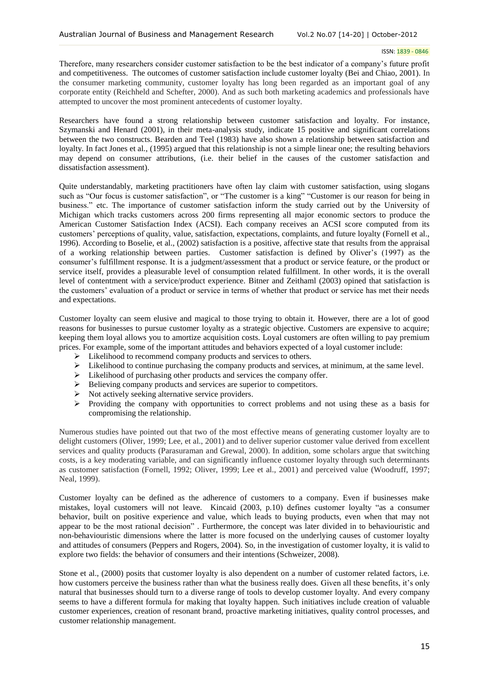Therefore, many researchers consider customer satisfaction to be the best indicator of a company's future profit and competitiveness. The outcomes of customer satisfaction include customer loyalty (Bei and Chiao, 2001). In the consumer marketing community, customer loyalty has long been regarded as an important goal of any corporate entity (Reichheld and Schefter, 2000). And as such both marketing academics and professionals have attempted to uncover the most prominent antecedents of customer loyalty.

Researchers have found a strong relationship between customer satisfaction and loyalty. For instance, Szymanski and Henard (2001), in their meta-analysis study, indicate 15 positive and significant correlations between the two constructs. Bearden and Teel (1983) have also shown a relationship between satisfaction and loyalty. In fact Jones et al., (1995) argued that this relationship is not a simple linear one; the resulting behaviors may depend on consumer attributions, (i.e. their belief in the causes of the customer satisfaction and dissatisfaction assessment).

Quite understandably, marketing practitioners have often lay claim with customer satisfaction, using slogans such as "Our focus is customer satisfaction", or "The customer is a king" "Customer is our reason for being in business." etc. The importance of customer satisfaction inform the study carried out by the University of Michigan which tracks customers across 200 firms representing all major economic sectors to produce the American Customer Satisfaction Index (ACSI). Each company receives an ACSI score computed from its customers' perceptions of quality, value, satisfaction, expectations, complaints, and future loyalty (Fornell et al., 1996). According to Boselie, et al., (2002) satisfaction is a positive, affective state that results from the appraisal of a working relationship between parties. Customer satisfaction is defined by Oliver's (1997) as the consumer's fulfillment response. It is a judgment/assessment that a product or service feature, or the product or service itself, provides a pleasurable level of consumption related fulfillment. In other words, it is the overall level of contentment with a service/product experience. Bitner and Zeithaml (2003) opined that satisfaction is the customers' evaluation of a product or service in terms of whether that product or service has met their needs and expectations.

Customer loyalty can seem elusive and magical to those trying to obtain it. However, there are a lot of good reasons for businesses to pursue customer loyalty as a strategic objective. Customers are expensive to acquire; keeping them loyal allows you to amortize acquisition costs. Loyal customers are often willing to pay premium prices. For example, some of the important attitudes and behaviors expected of a loyal customer include:

- $\triangleright$  Likelihood to recommend company products and services to others.
- $\triangleright$  Likelihood to continue purchasing the company products and services, at minimum, at the same level.
- $\triangleright$  Likelihood of purchasing other products and services the company offer.
- $\triangleright$  Believing company products and services are superior to competitors.
- $\triangleright$  Not actively seeking alternative service providers.
- Providing the company with opportunities to correct problems and not using these as a basis for compromising the relationship.

Numerous studies have pointed out that two of the most effective means of generating customer loyalty are to delight customers (Oliver, 1999; Lee, et al., 2001) and to deliver superior customer value derived from excellent services and quality products (Parasuraman and Grewal, 2000). In addition, some scholars argue that switching costs, is a key moderating variable, and can significantly influence customer loyalty through such determinants as customer satisfaction (Fornell, 1992; Oliver, 1999; Lee et al., 2001) and perceived value (Woodruff, 1997; Neal, 1999).

Customer loyalty can be defined as the adherence of customers to a company. Even if businesses make mistakes, loyal customers will not leave. Kincaid (2003, p.10) defines customer loyalty "as a consumer behavior, built on positive experience and value, which leads to buying products, even when that may not appear to be the most rational decision" . Furthermore, the concept was later divided in to behaviouristic and non-behaviouristic dimensions where the latter is more focused on the underlying causes of customer loyalty and attitudes of consumers (Peppers and Rogers, 2004). So, in the investigation of customer loyalty, it is valid to explore two fields: the behavior of consumers and their intentions (Schweizer, 2008).

Stone et al., (2000) posits that customer loyalty is also dependent on a number of customer related factors, i.e. how customers perceive the business rather than what the business really does. Given all these benefits, it's only natural that businesses should turn to a diverse range of tools to develop customer loyalty. And every company seems to have a different formula for making that loyalty happen. Such initiatives include creation of valuable customer experiences, creation of resonant brand, proactive marketing initiatives, quality control processes, and customer relationship management.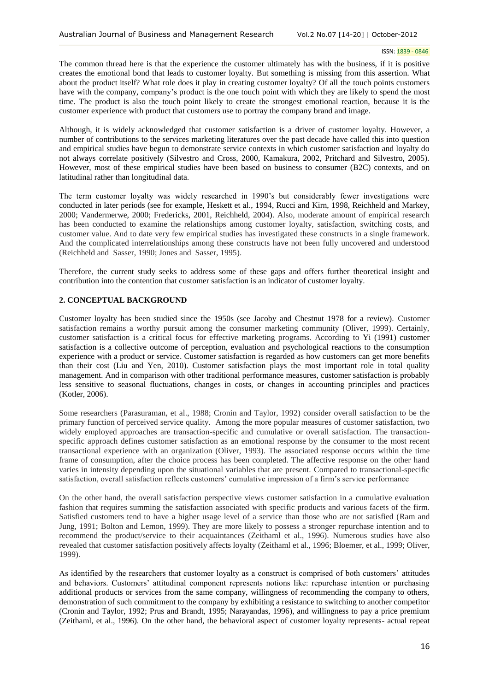The common thread here is that the experience the customer ultimately has with the business, if it is positive creates the emotional bond that leads to customer loyalty. But something is missing from this assertion. What about the product itself? What role does it play in creating customer loyalty? Of all the touch points customers have with the company, company's product is the one touch point with which they are likely to spend the most time. The product is also the touch point likely to create the strongest emotional reaction, because it is the customer experience with product that customers use to portray the company brand and image.

Although, it is widely acknowledged that customer *s*atisfaction is a driver of customer loyalty. However, a number of contributions to the services marketing literatures over the past decade have called this into question and empirical studies have begun to demonstrate service contexts in which customer satisfaction and loyalty do not always correlate positively (Silvestro and Cross, 2000, Kamakura, 2002, Pritchard and Silvestro, 2005). However, most of these empirical studies have been based on business to consumer (B2C) contexts, and on latitudinal rather than longitudinal data.

The term customer loyalty was widely researched in 1990's but considerably fewer investigations were conducted in later periods (see for example, Heskett et al., 1994, Rucci and Kirn, 1998, Reichheld and Markey, 2000; Vandermerwe, 2000; Fredericks, 2001, Reichheld, 2004). Also, moderate amount of empirical research has been conducted to examine the relationships among customer loyalty, satisfaction, switching costs, and customer value. And to date very few empirical studies has investigated these constructs in a single framework. And the complicated interrelationships among these constructs have not been fully uncovered and understood (Reichheld and Sasser, 1990; Jones and Sasser, 1995).

Therefore, the current study seeks to address some of these gaps and offers further theoretical insight and contribution into the contention that customer satisfaction is an indicator of customer loyalty.

# **2. CONCEPTUAL BACKGROUND**

Customer loyalty has been studied since the 1950s (see Jacoby and Chestnut 1978 for a review). Customer satisfaction remains a worthy pursuit among the consumer marketing community (Oliver, 1999). Certainly, customer satisfaction is a critical focus for effective marketing programs. According to Yi (1991) customer satisfaction is a collective outcome of perception, evaluation and psychological reactions to the consumption experience with a product or service. Customer satisfaction is regarded as how customers can get more benefits than their cost (Liu and Yen, 2010). Customer satisfaction plays the most important role in total quality management. And in comparison with other traditional performance measures, customer satisfaction is probably less sensitive to seasonal fluctuations, changes in costs, or changes in accounting principles and practices (Kotler, 2006).

Some researchers (Parasuraman, et al., 1988; Cronin and Taylor, 1992) consider overall satisfaction to be the primary function of perceived service quality. Among the more popular measures of customer satisfaction, two widely employed approaches are transaction-specific and cumulative or overall satisfaction. The transactionspecific approach defines customer satisfaction as an emotional response by the consumer to the most recent transactional experience with an organization (Oliver, 1993). The associated response occurs within the time frame of consumption, after the choice process has been completed. The affective response on the other hand varies in intensity depending upon the situational variables that are present. Compared to transactional-specific satisfaction, overall satisfaction reflects customers' cumulative impression of a firm's service performance

On the other hand, the overall satisfaction perspective views customer satisfaction in a cumulative evaluation fashion that requires summing the satisfaction associated with specific products and various facets of the firm. Satisfied customers tend to have a higher usage level of a service than those who are not satisfied (Ram and Jung, 1991; Bolton and Lemon, 1999). They are more likely to possess a stronger repurchase intention and to recommend the product/service to their acquaintances (Zeithaml et al., 1996). Numerous studies have also revealed that customer satisfaction positively affects loyalty (Zeithaml et al., 1996; Bloemer, et al., 1999; Oliver, 1999).

As identified by the researchers that customer loyalty as a construct is comprised of both customers' attitudes and behaviors. Customers' attitudinal component represents notions like: repurchase intention or purchasing additional products or services from the same company, willingness of recommending the company to others, demonstration of such commitment to the company by exhibiting a resistance to switching to another competitor (Cronin and Taylor, 1992; Prus and Brandt, 1995; Narayandas, 1996), and willingness to pay a price premium (Zeithaml, et al., 1996). On the other hand, the behavioral aspect of customer loyalty represents- actual repeat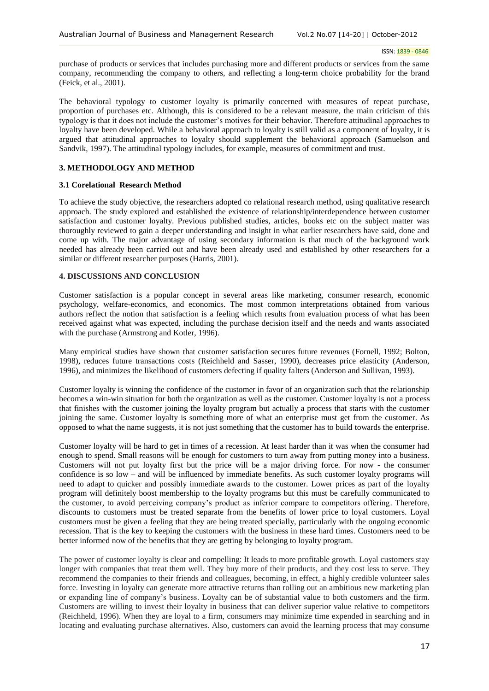purchase of products or services that includes purchasing more and different products or services from the same company, recommending the company to others, and reflecting a long-term choice probability for the brand (Feick, et al., 2001).

The behavioral typology to customer loyalty is primarily concerned with measures of repeat purchase, proportion of purchases etc. Although, this is considered to be a relevant measure, the main criticism of this typology is that it does not include the customer's motives for their behavior. Therefore attitudinal approaches to loyalty have been developed. While a behavioral approach to loyalty is still valid as a component of loyalty, it is argued that attitudinal approaches to loyalty should supplement the behavioral approach (Samuelson and Sandvik, 1997). The attitudinal typology includes, for example, measures of commitment and trust.

## **3. METHODOLOGY AND METHOD**

### **3.1 Corelational Research Method**

To achieve the study objective, the researchers adopted co relational research method, using qualitative research approach. The study explored and established the existence of relationship/interdependence between customer satisfaction and customer loyalty. Previous published studies, articles, books etc on the subject matter was thoroughly reviewed to gain a deeper understanding and insight in what earlier researchers have said, done and come up with. The major advantage of using secondary information is that much of the background work needed has already been carried out and have been already used and established by other researchers for a similar or different researcher purposes (Harris, 2001).

### **4. DISCUSSIONS AND CONCLUSION**

Customer satisfaction is a popular concept in several areas like marketing, consumer research, economic psychology, welfare-economics, and economics. The most common interpretations obtained from various authors reflect the notion that satisfaction is a feeling which results from evaluation process of what has been received against what was expected, including the purchase decision itself and the needs and wants associated with the purchase (Armstrong and Kotler, 1996).

Many empirical studies have shown that customer satisfaction secures future revenues (Fornell, 1992; Bolton, 1998), reduces future transactions costs (Reichheld and Sasser, 1990), decreases price elasticity (Anderson, 1996), and minimizes the likelihood of customers defecting if quality falters (Anderson and Sullivan, 1993).

Customer loyalty is winning the confidence of the customer in favor of an organization such that the relationship becomes a win-win situation for both the organization as well as the customer. Customer loyalty is not a process that finishes with the customer joining the loyalty program but actually a process that starts with the customer joining the same. Customer loyalty is something more of what an enterprise must get from the customer. As opposed to what the name suggests, it is not just something that the customer has to build towards the enterprise.

Customer loyalty will be hard to get in times of a recession. At least harder than it was when the consumer had enough to spend. Small reasons will be enough for customers to turn away from putting money into a business. Customers will not put loyalty first but the price will be a major driving force. For now - the consumer confidence is so low – and will be influenced by immediate benefits. As such customer loyalty programs will need to adapt to quicker and possibly immediate awards to the customer. Lower prices as part of the loyalty program will definitely boost membership to the loyalty programs but this must be carefully communicated to the customer, to avoid perceiving company's product as inferior compare to competitors offering. Therefore, discounts to customers must be treated separate from the benefits of lower price to loyal customers. Loyal customers must be given a feeling that they are being treated specially, particularly with the ongoing economic recession. That is the key to keeping the customers with the business in these hard times. Customers need to be better informed now of the benefits that they are getting by belonging to loyalty program.

The power of customer loyalty is clear and compelling: It leads to more profitable growth. Loyal customers stay longer with companies that treat them well. They buy more of their products, and they cost less to serve. They recommend the companies to their friends and colleagues, becoming, in effect, a highly credible volunteer sales force. Investing in loyalty can generate more attractive returns than rolling out an ambitious new marketing plan or expanding line of company's business. Loyalty can be of substantial value to both customers and the firm. Customers are willing to invest their loyalty in business that can deliver superior value relative to competitors (Reichheld, 1996). When they are loyal to a firm, consumers may minimize time expended in searching and in locating and evaluating purchase alternatives. Also, customers can avoid the learning process that may consume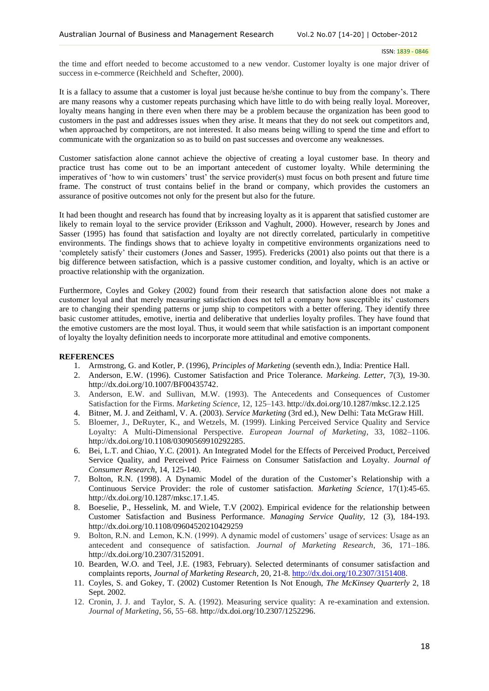the time and effort needed to become accustomed to a new vendor. Customer loyalty is one major driver of success in e-commerce (Reichheld and Schefter, 2000).

It is a fallacy to assume that a customer is loyal just because he/she continue to buy from the company's. There are many reasons why a customer repeats purchasing which have little to do with being really loyal. Moreover, loyalty means hanging in there even when there may be a problem because the organization has been good to customers in the past and addresses issues when they arise. It means that they do not seek out competitors and, when approached by competitors, are not interested. It also means being willing to spend the time and effort to communicate with the organization so as to build on past successes and overcome any weaknesses.

Customer satisfaction alone cannot achieve the objective of creating a loyal customer base. In theory and practice trust has come out to be an important antecedent of customer loyalty. While determining the imperatives of 'how to win customers' trust' the service provider(s) must focus on both present and future time frame. The construct of trust contains belief in the brand or company, which provides the customers an assurance of positive outcomes not only for the present but also for the future.

It had been thought and research has found that by increasing loyalty as it is apparent that satisfied customer are likely to remain loyal to the service provider (Eriksson and Vaghult, 2000). However, research by Jones and Sasser (1995) has found that satisfaction and loyalty are not directly correlated, particularly in competitive environments. The findings shows that to achieve loyalty in competitive environments organizations need to 'completely satisfy' their customers (Jones and Sasser, 1995). Fredericks (2001) also points out that there is a big difference between satisfaction, which is a passive customer condition, and loyalty, which is an active or proactive relationship with the organization.

Furthermore, Coyles and Gokey (2002) found from their research that satisfaction alone does not make a customer loyal and that merely measuring satisfaction does not tell a company how susceptible its' customers are to changing their spending patterns or jump ship to competitors with a better offering. They identify three basic customer attitudes, emotive, inertia and deliberative that underlies loyalty profiles. They have found that the emotive customers are the most loyal. Thus, it would seem that while satisfaction is an important component of loyalty the loyalty definition needs to incorporate more attitudinal and emotive components.

## **REFERENCES**

- 1. Armstrong, G. and Kotler, P. (1996), *Principles of Marketing* (seventh edn.), India: Prentice Hall.
- 2. Anderson, E.W. (1996). Customer Satisfaction and Price Tolerance. *Markeing. Letter*, 7(3), 19-30. http://dx.doi.org/10.1007/BF00435742.
- 3. Anderson, E.W. and Sullivan, M.W. (1993). The Antecedents and Consequences of Customer Satisfaction for the Firms. *Marketing Science*, 12, 125–143. http://dx.doi.org/10.1287/mksc.12.2.125
- 4. Bitner, M. J. and Zeithaml, V. A. (2003). *Service Marketing* (3rd ed.), New Delhi: Tata McGraw Hill.
- 5. Bloemer, J., DeRuyter, K., and Wetzels, M. (1999). Linking Perceived Service Quality and Service Loyalty: A Multi-Dimensional Perspective. *European Journal of Marketing*, 33, 1082–1106. http://dx.doi.org/10.1108/03090569910292285.
- 6. Bei, L.T. and Chiao, Y.C. (2001). An Integrated Model for the Effects of Perceived Product, Perceived Service Quality, and Perceived Price Fairness on Consumer Satisfaction and Loyalty. *Journal of Consumer Research*, 14, 125-140.
- 7. Bolton, R.N. (1998). A Dynamic Model of the duration of the Customer's Relationship with a Continuous Service Provider: the role of customer satisfaction. *Marketing Science*, 17(1):45-65. http://dx.doi.org/10.1287/mksc.17.1.45.
- 8. Boeselie, P., Hesselink, M. and Wiele, T.V (2002). Empirical evidence for the relationship between Customer Satisfaction and Business Performance. *Managing Service Quality*, 12 (3), 184-193. http://dx.doi.org/10.1108/09604520210429259
- 9. Bolton, R.N. and Lemon, K.N. (1999). A dynamic model of customers' usage of services: Usage as an antecedent and consequence of satisfaction. *Journal of Marketing Research*, 36, 171–186. http://dx.doi.org/10.2307/3152091.
- 10. Bearden, W.O. and Teel, J.E. (1983, February). Selected determinants of consumer satisfaction and complaints reports, *Journal of Marketing Research,* 20, 21-8. [http://dx.doi.org/10.2307/3151408.](http://dx.doi.org/10.2307/3151408)
- 11. Coyles, S. and Gokey, T. (2002) Customer Retention Is Not Enough, *The McKinsey Quarterly* 2, 18 Sept. 2002.
- 12. Cronin, J. J. and Taylor, S. A. (1992). Measuring service quality: A re-examination and extension. *Journal of Marketing*, 56, 55–68. http://dx.doi.org/10.2307/1252296.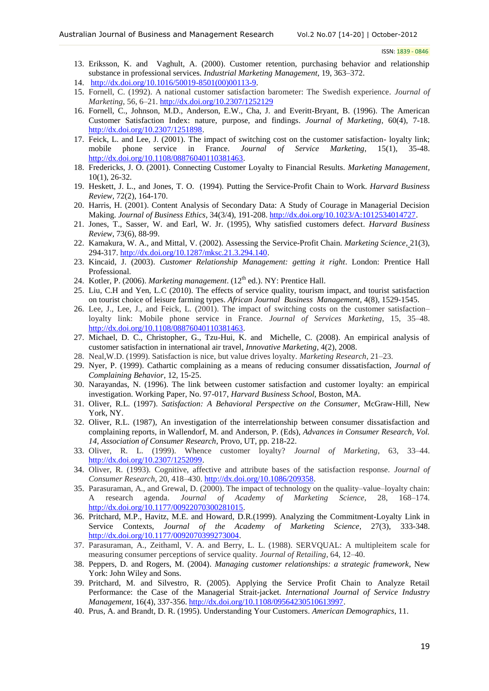- 13. Eriksson, K. and Vaghult, A. (2000). Customer retention, purchasing behavior and relationship substance in professional services. *Industrial Marketing Management*, 19, 363–372.
- 14. [http://dx.doi.org/10.1016/50019-8501\(00\)00113-9.](http://dx.doi.org/10.1016/50019-8501(00)00113-9)
- 15. Fornell, C. (1992). A national customer satisfaction barometer: The Swedish experience. *Journal of Marketing*, 56, 6–21. <http://dx.doi.org/10.2307/1252129>
- 16. Fornell, C., Johnson, M.D., Anderson, E.W., Cha, J. and Everitt-Bryant, B. (1996). The American Customer Satisfaction Index: nature, purpose, and findings. *Journal of Marketing*, 60(4), 7-18. [http://dx.doi.org/10.2307/1251898.](http://dx.doi.org/10.2307/1251898)
- 17. Feick, L. and Lee, J. (2001). The impact of switching cost on the customer satisfaction- loyalty link; mobile phone service in France. *Journal of Service Marketing*, 15(1), 35-48. [http://dx.doi.org/10.1108/08876040110381463.](http://dx.doi.org/10.1108/08876040110381463)
- 18. Fredericks, J. O. (2001). Connecting Customer Loyalty to Financial Results. *Marketing Management,* 10(1), 26-32.
- 19. Heskett, J. L., and Jones, T. O. (1994). Putting the Service-Profit Chain to Work. *Harvard Business Review,* 72(2), 164-170.
- 20. Harris, H. (2001). Content Analysis of Secondary Data: A Study of Courage in Managerial Decision Making. *Journal of Business Ethics*, 34(3/4), 191-208. [http://dx.doi.org/10.1023/A:1012534014727.](http://dx.doi.org/10.1023/A:1012534014727)
- 21. Jones, T., Sasser, W. and Earl, W. Jr. (1995), Why satisfied customers defect. *Harvard Business Review*, 73(6), 88-99.
- 22. Kamakura, W. A., and Mittal, V. (2002). Assessing the Service-Profit Chain. *Marketing Science,* 21(3), 294-317. [http://dx.doi.org/10.1287/mksc.21.3.294.140.](http://dx.doi.org/10.1287/mksc.21.3.294.140)
- 23. Kincaid, J. (2003). *Customer Relationship Management: getting it right*. London: Prentice Hall Professional.
- 24. Kotler, P. (2006). *Marketing management*. (12<sup>th</sup> ed.). NY: Prentice Hall.
- 25. Liu, C.H and Yen, L.C (2010). The effects of service quality, tourism impact, and tourist satisfaction on tourist choice of leisure farming types. *African Journal Business Management*, 4(8), 1529-1545.
- 26. Lee, J., Lee, J., and Feick, L. (2001). The impact of switching costs on the customer satisfaction– loyalty link: Mobile phone service in France. *Journal of Services Marketing*, 15, 35–48. [http://dx.doi.org/10.1108/08876040110381463.](http://dx.doi.org/10.1108/08876040110381463)
- 27. Michael, D. C., Christopher, G., Tzu-Hui, K. and Michelle, C. (2008). An empirical analysis of customer satisfaction in international air travel, *Innovative Marketing*, 4(2), 2008.
- 28. Neal,W.D. (1999). Satisfaction is nice, but value drives loyalty. *Marketing Research*, 21–23.
- 29. Nyer, P. (1999). Cathartic complaining as a means of reducing consumer dissatisfaction, *Journal of Complaining Behavior*, 12, 15-25.
- 30. Narayandas, N. (1996). The link between customer satisfaction and customer loyalty: an empirical investigation. Working Paper, No. 97-017, *Harvard Business School*, Boston, MA.
- 31. Oliver, R.L. (1997). *Satisfaction: A Behavioral Perspective on the Consumer*, McGraw-Hill, New York, NY.
- 32. Oliver, R.L. (1987), An investigation of the interrelationship between consumer dissatisfaction and complaining reports, in Wallendorf, M. and Anderson, P. (Eds), *Advances in Consumer Research, Vol. 14, Association of Consumer Research*, Provo, UT, pp. 218-22.
- 33. Oliver, R. L. (1999). Whence customer loyalty? *Journal of Marketing*, 63, 33–44. [http://dx.doi.org/10.2307/1252099.](http://dx.doi.org/10.2307/1252099)
- 34. Oliver, R. (1993). Cognitive, affective and attribute bases of the satisfaction response. *Journal of Consumer Research*, 20, 418–430. [http://dx.doi.org/10.1086/209358.](http://dx.doi.org/10.1086/209358)
- 35. Parasuraman, A., and Grewal, D. (2000). The impact of technology on the quality–value–loyalty chain: A research agenda. *Journal of Academy of Marketing Science*, 28, 168–174. [http://dx.doi.org/10.1177/00922070300281015.](http://dx.doi.org/10.1177/00922070300281015)
- 36. Pritchard, M.P., Havitz, M.E. and Howard, D.R.(1999). Analyzing the Commitment-Loyalty Link in Service Contexts, *Journal of the Academy of Marketing Science*, 27(3), 333-348. [http://dx.doi.org/10.1177/0092070399273004.](http://dx.doi.org/10.1177/0092070399273004)
- 37. Parasuraman, A., Zeithaml, V. A. and Berry, L. L. (1988). SERVQUAL: A multipleitem scale for measuring consumer perceptions of service quality. *Journal of Retailing*, 64, 12–40.
- 38. Peppers, D. and Rogers, M. (2004). *Managing customer relationships: a strategic framework*, New York: John Wiley and Sons.
- 39. Pritchard, M. and Silvestro, R. (2005). Applying the Service Profit Chain to Analyze Retail Performance: the Case of the Managerial Strait-jacket. *International Journal of Service Industry Management*, 16(4), 337-356. [http://dx.doi.org/10.1108/09564230510613997.](http://dx.doi.org/10.1108/09564230510613997)
- 40. Prus, A. and Brandt, D. R. (1995). Understanding Your Customers. *American Demographics*, 11.